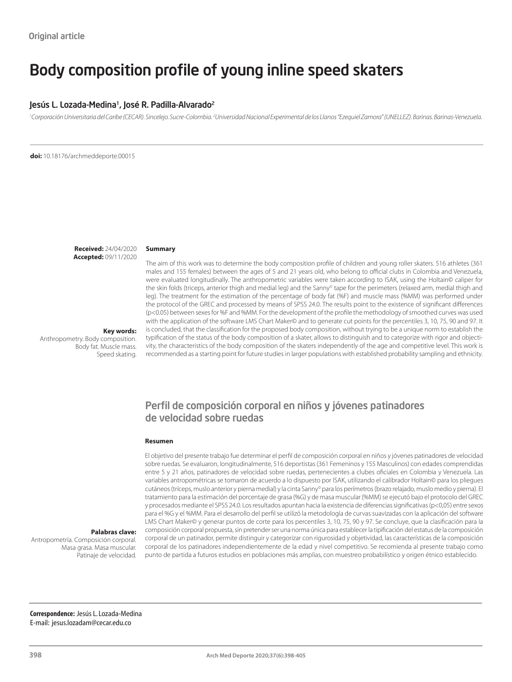# Body composition profile of young inline speed skaters

#### Jesús L. Lozada-Medina<sup>1</sup>, José R. Padilla-Alvarado<sup>2</sup>

<sup>1</sup> Corporación Universitaria del Caribe (CECAR). Sincelejo. Sucre-Colombia. <sup>2</sup> Universidad Nacional Experimental de los Llanos "Ezequiel Zamora" (UNELLEZ). Barinas. Barinas-Venezuela.

**doi:** 10.18176/archmeddeporte.00015

**Received:** 24/04/2020 **Accepted:** 09/11/2020

#### **Summary**

The aim of this work was to determine the body composition profile of children and young roller skaters. 516 athletes (361 males and 155 females) between the ages of 5 and 21 years old, who belong to official clubs in Colombia and Venezuela, were evaluated longitudinally. The anthropometric variables were taken according to ISAK, using the Holtain© caliper for the skin folds (triceps, anterior thigh and medial leg) and the Sanny® tape for the perimeters (relaxed arm, medial thigh and leg). The treatment for the estimation of the percentage of body fat (%F) and muscle mass (%MM) was performed under the protocol of the GREC and processed by means of SPSS 24.0. The results point to the existence of significant differences (p<0.05) between sexes for %F and %MM. For the development of the profile the methodology of smoothed curves was used with the application of the software LMS Chart Maker© and to generate cut points for the percentiles 3, 10, 75, 90 and 97. It is concluded, that the classification for the proposed body composition, without trying to be a unique norm to establish the typification of the status of the body composition of a skater, allows to distinguish and to categorize with rigor and objectivity, the characteristics of the body composition of the skaters independently of the age and competitive level. This work is recommended as a starting point for future studies in larger populations with established probability sampling and ethnicity.

#### **Key words:**

Anthropometry. Body composition. Body fat. Muscle mass. Speed skating.

## Perfil de composición corporal en niños y jóvenes patinadores de velocidad sobre ruedas

#### **Resumen**

El objetivo del presente trabajo fue determinar el perfil de composición corporal en niños y jóvenes patinadores de velocidad sobre ruedas. Se evaluaron, longitudinalmente, 516 deportistas (361 Femeninos y 155 Masculinos) con edades comprendidas entre 5 y 21 años, patinadores de velocidad sobre ruedas, pertenecientes a clubes oficiales en Colombia y Venezuela. Las variables antropométricas se tomaron de acuerdo a lo dispuesto por ISAK, utilizando el calibrador Holtain© para los pliegues cutáneos (tríceps, muslo anterior y pierna medial) y la cinta Sanny© para los perímetros (brazo relajado, muslo medio y pierna). El tratamiento para la estimación del porcentaje de grasa (%G) y de masa muscular (%MM) se ejecutó bajo el protocolo del GREC y procesados mediante el SPSS 24.0. Los resultados apuntan hacia la existencia de diferencias significativas (p<0,05) entre sexos para el %G y el %MM. Para el desarrollo del perfil se utilizó la metodología de curvas suavizadas con la aplicación del software LMS Chart Maker© y generar puntos de corte para los percentiles 3, 10, 75, 90 y 97. Se concluye, que la clasificación para la composición corporal propuesta, sin pretender ser una norma única para establecer la tipificación del estatus de la composición corporal de un patinador, permite distinguir y categorizar con rigurosidad y objetividad, las características de la composición corporal de los patinadores independientemente de la edad y nivel competitivo. Se recomienda al presente trabajo como punto de partida a futuros estudios en poblaciones más amplias, con muestreo probabilístico y origen étnico establecido.

#### **Palabras clave:**

Antropometría. Composición corporal. Masa grasa. Masa muscular. Patinaje de velocidad.

**Correspondence:** Jesús L. Lozada-Medina E-mail: jesus.lozadam@cecar.edu.co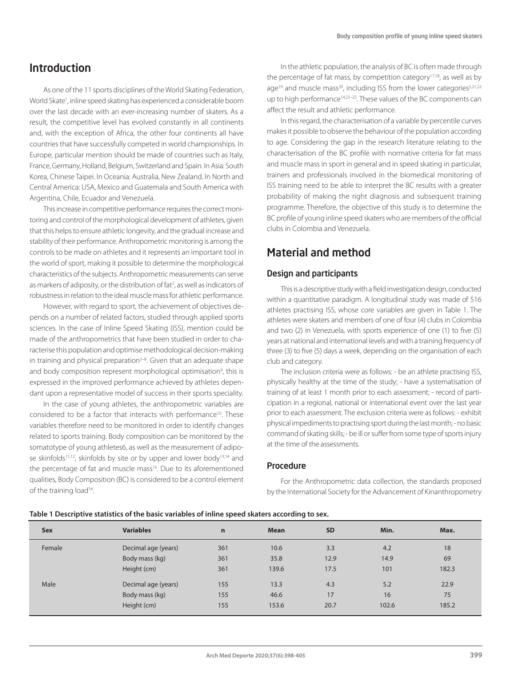# Introduction

As one of the 11 sports disciplines of the World Skating Federation, World Skate<sup>1</sup>, inline speed skating has experienced a considerable boom over the last decade with an ever-increasing number of skaters. As a result, the competitive level has evolved constantly in all continents and, with the exception of Africa, the other four continents all have countries that have successfully competed in world championships. In Europe, particular mention should be made of countries such as Italy, France, Germany, Holland, Belgium, Switzerland and Spain. In Asia: South Korea, Chinese Taipei. In Oceania: Australia, New Zealand. In North and Central America: USA, Mexico and Guatemala and South America with Argentina, Chile, Ecuador and Venezuela.

This increase in competitive performance requires the correct monitoring and control of the morphological development of athletes, given that this helps to ensure athletic longevity, and the gradual increase and stability of their performance. Anthropometric monitoring is among the controls to be made on athletes and it represents an important tool in the world of sport, making it possible to determine the morphological characteristics of the subjects. Anthropometric measurements can serve as markers of adiposity, or the distribution of fat<sup>2</sup>, as well as indicators of robustness in relation to the ideal muscle mass for athletic performance.

However, with regard to sport, the achievement of objectives depends on a number of related factors, studied through applied sports sciences. In the case of Inline Speed Skating (ISS), mention could be made of the anthropometrics that have been studied in order to characterise this population and optimise methodological decision-making in training and physical preparation $3-8$ . Given that an adequate shape and body composition represent morphological optimisation<sup>9</sup>, this is expressed in the improved performance achieved by athletes dependant upon a representative model of success in their sports speciality.

In the case of young athletes, the anthropometric variables are considered to be a factor that interacts with performance10. These variables therefore need to be monitored in order to identify changes related to sports training. Body composition can be monitored by the somatotype of young athletes6, as well as the measurement of adipose skinfolds<sup>11,12</sup>, skinfolds by site or by upper and lower body<sup>13,14</sup> and the percentage of fat and muscle mass<sup>15</sup>. Due to its aforementioned qualities, Body Composition (BC) is considered to be a control element of the training load<sup>16</sup>.

In the athletic population, the analysis of BC is often made through the percentage of fat mass, by competition category $17,18$ , as well as by age<sup>19</sup> and muscle mass<sup>20</sup>, including ISS from the lower categories<sup>5,21,22</sup> up to high performance14,23–25. These values of the BC components can affect the result and athletic performance.

In this regard, the characterisation of a variable by percentile curves makes it possible to observe the behaviour of the population according to age. Considering the gap in the research literature relating to the characterisation of the BC profile with normative criteria for fat mass and muscle mass in sport in general and in speed skating in particular. trainers and professionals involved in the biomedical monitoring of ISS training need to be able to interpret the BC results with a greater probability of making the right diagnosis and subsequent training programme. Therefore, the objective of this study is to determine the BC profile of young inline speed skaters who are members of the official clubs in Colombia and Venezuela.

# Material and method

#### Design and participants

This is a descriptive study with a field investigation design, conducted within a quantitative paradigm. A longitudinal study was made of 516 athletes practising ISS, whose core variables are given in Table 1. The athletes were skaters and members of one of four (4) clubs in Colombia and two (2) in Venezuela, with sports experience of one (1) to five (5) years at national and international levels and with a training frequency of three (3) to five (5) days a week, depending on the organisation of each club and category.

The inclusion criteria were as follows: - be an athlete practising ISS, physically healthy at the time of the study; - have a systematisation of training of at least 1 month prior to each assessment; - record of participation in a regional, national or international event over the last year prior to each assessment. The exclusion criteria were as follows: - exhibit physical impediments to practising sport during the last month; - no basic command of skating skills; - be ill or suffer from some type of sports injury at the time of the assessments.

#### Procedure

For the Anthropometric data collection, the standards proposed by the International Society for the Advancement of Kinanthropometry

#### **Table 1 Descriptive statistics of the basic variables of inline speed skaters according to sex.**

| <b>Sex</b> | <b>Variables</b>    | n   | <b>Mean</b> | <b>SD</b> | Min.  | Max.  |
|------------|---------------------|-----|-------------|-----------|-------|-------|
| Female     | Decimal age (years) | 361 | 10.6        | 3.3       | 4.2   | 18    |
|            | Body mass (kg)      | 361 | 35.8        | 12.9      | 14.9  | 69    |
|            | Height (cm)         | 361 | 139.6       | 17.5      | 101   | 182.3 |
| Male       | Decimal age (years) | 155 | 13.3        | 4.3       | 5.2   | 22.9  |
|            | Body mass (kg)      | 155 | 46.6        | 17        | 16    | 75    |
|            | Height (cm)         | 155 | 153.6       | 20.7      | 102.6 | 185.2 |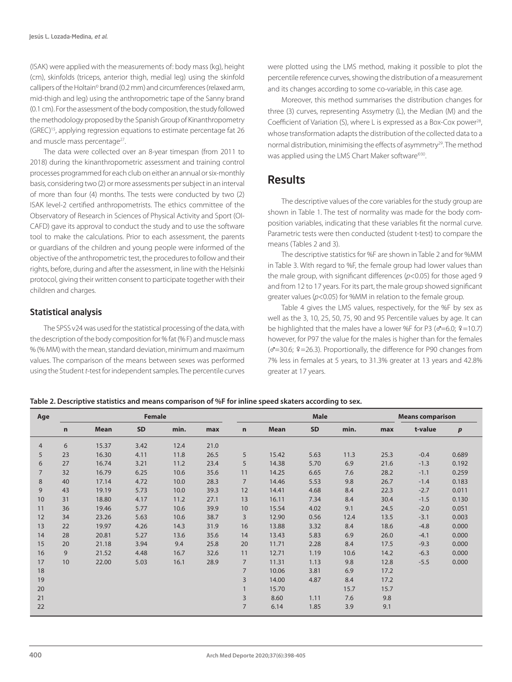(ISAK) were applied with the measurements of: body mass (kg), height (cm), skinfolds (triceps, anterior thigh, medial leg) using the skinfold callipers of the Holtain© brand (0.2 mm) and circumferences (relaxed arm, mid-thigh and leg) using the anthropometric tape of the Sanny brand (0.1 cm). For the assessment of the body composition, the study followed the methodology proposed by the Spanish Group of Kinanthropometry (GREC)15, applying regression equations to estimate percentage fat 26 and muscle mass percentage<sup>27</sup>.

The data were collected over an 8-year timespan (from 2011 to 2018) during the kinanthropometric assessment and training control processes programmed for each club on either an annual or six-monthly basis, considering two (2) or more assessments per subject in an interval of more than four (4) months. The tests were conducted by two (2) ISAK level-2 certified anthropometrists. The ethics committee of the Observatory of Research in Sciences of Physical Activity and Sport (OI-CAFD) gave its approval to conduct the study and to use the software tool to make the calculations. Prior to each assessment, the parents or guardians of the children and young people were informed of the objective of the anthropometric test, the procedures to follow and their rights, before, during and after the assessment, in line with the Helsinki protocol, giving their written consent to participate together with their children and charges.

#### Statistical analysis

The SPSS v24 was used for the statistical processing of the data, with the description of the body composition for % fat (% F) and muscle mass % (% MM) with the mean, standard deviation, minimum and maximum values. The comparison of the means between sexes was performed using the Student *t*-test for independent samples. The percentile curves were plotted using the LMS method, making it possible to plot the percentile reference curves, showing the distribution of a measurement and its changes according to some co-variable, in this case age.

Moreover, this method summarises the distribution changes for three (3) curves, representing Assymetry (L), the Median (M) and the Coefficient of Variation (S), where L is expressed as a Box-Cox power<sup>28</sup>, whose transformation adapts the distribution of the collected data to a normal distribution, minimising the effects of asymmetry<sup>29</sup>. The method was applied using the LMS Chart Maker software<sup>®30</sup>.

### **Results**

The descriptive values of the core variables for the study group are shown in Table 1. The test of normality was made for the body composition variables, indicating that these variables fit the normal curve. Parametric tests were then conducted (student t-test) to compare the means (Tables 2 and 3).

The descriptive statistics for %F are shown in Table 2 and for %MM in Table 3. With regard to %F, the female group had lower values than the male group, with significant differences (*p*<0.05) for those aged 9 and from 12 to 17 years. For its part, the male group showed significant greater values (*p*<0.05) for %MM in relation to the female group.

Table 4 gives the LMS values, respectively, for the %F by sex as well as the 3, 10, 25, 50, 75, 90 and 95 Percentile values by age. It can be highlighted that the males have a lower %F for P3 ( $\sigma$ =6.0;  $9$ =10.7) however, for P97 the value for the males is higher than for the females  $(\sigma=30.6; 9=26.3)$ . Proportionally, the difference for P90 changes from 7% less in females at 5 years, to 31.3% greater at 13 years and 42.8% greater at 17 years.

#### **Table 2. Descriptive statistics and means comparison of %F for inline speed skaters according to sex.**

| Age            | <b>Female</b> |             |           |      |      |                | <b>Male</b> |           |      |      | <b>Means comparison</b> |       |
|----------------|---------------|-------------|-----------|------|------|----------------|-------------|-----------|------|------|-------------------------|-------|
|                | $\mathbf n$   | <b>Mean</b> | <b>SD</b> | min. | max  | $\mathbf n$    | <b>Mean</b> | <b>SD</b> | min. | max  | t-value                 | p     |
| $\overline{4}$ | 6             | 15.37       | 3.42      | 12.4 | 21.0 |                |             |           |      |      |                         |       |
| 5              | 23            | 16.30       | 4.11      | 11.8 | 26.5 | 5              | 15.42       | 5.63      | 11.3 | 25.3 | $-0.4$                  | 0.689 |
| 6              | 27            | 16.74       | 3.21      | 11.2 | 23.4 | 5              | 14.38       | 5.70      | 6.9  | 21.6 | $-1.3$                  | 0.192 |
| $\overline{7}$ | 32            | 16.79       | 6.25      | 10.6 | 35.6 | 11             | 14.25       | 6.65      | 7.6  | 28.2 | $-1.1$                  | 0.259 |
| 8              | 40            | 17.14       | 4.72      | 10.0 | 28.3 | $\overline{7}$ | 14.46       | 5.53      | 9.8  | 26.7 | $-1.4$                  | 0.183 |
| 9              | 43            | 19.19       | 5.73      | 10.0 | 39.3 | 12             | 14.41       | 4.68      | 8.4  | 22.3 | $-2.7$                  | 0.011 |
| 10             | 31            | 18.80       | 4.17      | 11.2 | 27.1 | 13             | 16.11       | 7.34      | 8.4  | 30.4 | $-1.5$                  | 0.130 |
| 11             | 36            | 19.46       | 5.77      | 10.6 | 39.9 | 10             | 15.54       | 4.02      | 9.1  | 24.5 | $-2.0$                  | 0.051 |
| 12             | 34            | 23.26       | 5.63      | 10.6 | 38.7 | 3              | 12.90       | 0.56      | 12.4 | 13.5 | $-3.1$                  | 0.003 |
| 13             | 22            | 19.97       | 4.26      | 14.3 | 31.9 | 16             | 13.88       | 3.32      | 8.4  | 18.6 | $-4.8$                  | 0.000 |
| 14             | 28            | 20.81       | 5.27      | 13.6 | 35.6 | 14             | 13.43       | 5.83      | 6.9  | 26.0 | $-4.1$                  | 0.000 |
| 15             | 20            | 21.18       | 3.94      | 9.4  | 25.8 | 20             | 11.71       | 2.28      | 8.4  | 17.5 | $-9.3$                  | 0.000 |
| 16             | 9             | 21.52       | 4.48      | 16.7 | 32.6 | 11             | 12.71       | 1.19      | 10.6 | 14.2 | $-6.3$                  | 0.000 |
| 17             | 10            | 22.00       | 5.03      | 16.1 | 28.9 | $\overline{7}$ | 11.31       | 1.13      | 9.8  | 12.8 | $-5.5$                  | 0.000 |
| 18             |               |             |           |      |      | $\overline{7}$ | 10.06       | 3.81      | 6.9  | 17.2 |                         |       |
| 19             |               |             |           |      |      | 3              | 14.00       | 4.87      | 8.4  | 17.2 |                         |       |
| 20             |               |             |           |      |      |                | 15.70       |           | 15.7 | 15.7 |                         |       |
| 21             |               |             |           |      |      | 3              | 8.60        | 1.11      | 7.6  | 9.8  |                         |       |
| 22             |               |             |           |      |      | $\overline{7}$ | 6.14        | 1.85      | 3.9  | 9.1  |                         |       |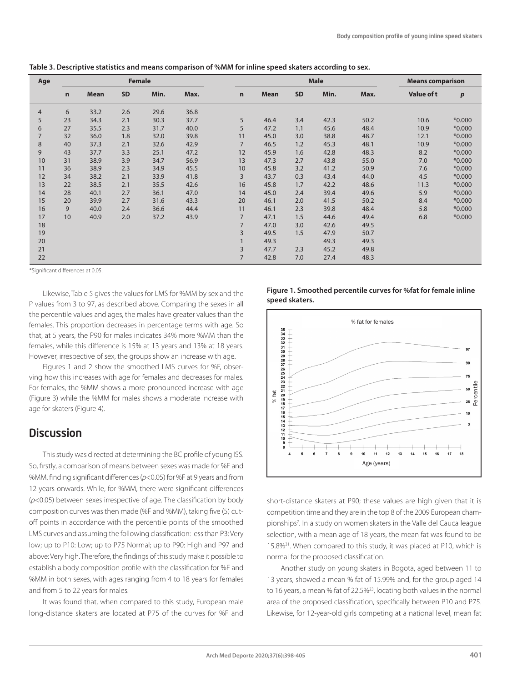| Age            | <b>Female</b> |             |           |      |      | <b>Male</b>    |      |           |      | <b>Means comparison</b> |            |                  |
|----------------|---------------|-------------|-----------|------|------|----------------|------|-----------|------|-------------------------|------------|------------------|
|                | $\mathbf n$   | <b>Mean</b> | <b>SD</b> | Min. | Max. | $\mathbf n$    | Mean | <b>SD</b> | Min. | Max.                    | Value of t | $\boldsymbol{p}$ |
| $\overline{4}$ | 6             | 33.2        | 2.6       | 29.6 | 36.8 |                |      |           |      |                         |            |                  |
| 5              | 23            | 34.3        | 2.1       | 30.3 | 37.7 | 5              | 46.4 | 3.4       | 42.3 | 50.2                    | 10.6       | $*0.000$         |
| 6              | 27            | 35.5        | 2.3       | 31.7 | 40.0 | 5              | 47.2 | 1.1       | 45.6 | 48.4                    | 10.9       | $*0.000$         |
| $\overline{7}$ | 32            | 36.0        | 1.8       | 32.0 | 39.8 | 11             | 45.0 | 3.0       | 38.8 | 48.7                    | 12.1       | $*0.000$         |
| 8              | 40            | 37.3        | 2.1       | 32.6 | 42.9 | $\overline{7}$ | 46.5 | 1.2       | 45.3 | 48.1                    | 10.9       | $*0.000$         |
| 9              | 43            | 37.7        | 3.3       | 25.1 | 47.2 | 12             | 45.9 | 1.6       | 42.8 | 48.3                    | 8.2        | $*0.000$         |
| 10             | 31            | 38.9        | 3.9       | 34.7 | 56.9 | 13             | 47.3 | 2.7       | 43.8 | 55.0                    | 7.0        | $*0.000$         |
| 11             | 36            | 38.9        | 2.3       | 34.9 | 45.5 | 10             | 45.8 | 3.2       | 41.2 | 50.9                    | 7.6        | $*0.000$         |
| 12             | 34            | 38.2        | 2.1       | 33.9 | 41.8 | 3              | 43.7 | 0.3       | 43.4 | 44.0                    | 4.5        | $*0.000$         |
| 13             | 22            | 38.5        | 2.1       | 35.5 | 42.6 | 16             | 45.8 | 1.7       | 42.2 | 48.6                    | 11.3       | $*0.000$         |
| 14             | 28            | 40.1        | 2.7       | 36.1 | 47.0 | 14             | 45.0 | 2.4       | 39.4 | 49.6                    | 5.9        | $*0.000$         |
| 15             | 20            | 39.9        | 2.7       | 31.6 | 43.3 | 20             | 46.1 | 2.0       | 41.5 | 50.2                    | 8.4        | $*0.000$         |
| 16             | 9             | 40.0        | 2.4       | 36.6 | 44.4 | 11             | 46.1 | 2.3       | 39.8 | 48.4                    | 5.8        | $*0.000$         |
| 17             | 10            | 40.9        | 2.0       | 37.2 | 43.9 | $\overline{7}$ | 47.1 | 1.5       | 44.6 | 49.4                    | 6.8        | $*0.000$         |
| 18             |               |             |           |      |      | $\overline{7}$ | 47.0 | 3.0       | 42.6 | 49.5                    |            |                  |
| 19             |               |             |           |      |      | 3              | 49.5 | 1.5       | 47.9 | 50.7                    |            |                  |
| 20             |               |             |           |      |      |                | 49.3 |           | 49.3 | 49.3                    |            |                  |
| 21             |               |             |           |      |      | 3              | 47.7 | 2.3       | 45.2 | 49.8                    |            |                  |
| 22             |               |             |           |      |      | $\overline{7}$ | 42.8 | 7.0       | 27.4 | 48.3                    |            |                  |

| Table 3. Descriptive statistics and means comparison of %MM for inline speed skaters according to sex. |  |  |  |
|--------------------------------------------------------------------------------------------------------|--|--|--|
|--------------------------------------------------------------------------------------------------------|--|--|--|

\*Significant differences at 0.05.

Likewise, Table 5 gives the values for LMS for %MM by sex and the P values from 3 to 97, as described above. Comparing the sexes in all the percentile values and ages, the males have greater values than the females. This proportion decreases in percentage terms with age. So that, at 5 years, the P90 for males indicates 34% more %MM than the females, while this difference is 15% at 13 years and 13% at 18 years. However, irrespective of sex, the groups show an increase with age.

Figures 1 and 2 show the smoothed LMS curves for %F, observing how this increases with age for females and decreases for males. For females, the %MM shows a more pronounced increase with age (Figure 3) while the %MM for males shows a moderate increase with age for skaters (Figure 4).

### **Discussion**

This study was directed at determining the BC profile of young ISS. So, firstly, a comparison of means between sexes was made for %F and %MM, finding significant differences (*p*<0.05) for %F at 9 years and from 12 years onwards. While, for %MM, there were significant differences (*p*<0.05) between sexes irrespective of age. The classification by body composition curves was then made (%F and %MM), taking five (5) cutoff points in accordance with the percentile points of the smoothed LMS curves and assuming the following classification: less than P3: Very low; up to P10: Low; up to P75 Normal; up to P90: High and P97 and above: Very high. Therefore, the findings of this study make it possible to establish a body composition profile with the classification for %F and %MM in both sexes, with ages ranging from 4 to 18 years for females and from 5 to 22 years for males.

It was found that, when compared to this study, European male long-distance skaters are located at P75 of the curves for %F and





short-distance skaters at P90; these values are high given that it is competition time and they are in the top 8 of the 2009 European championships<sup>7</sup>. In a study on women skaters in the Valle del Cauca league selection, with a mean age of 18 years, the mean fat was found to be 15.8%31. When compared to this study, it was placed at P10, which is normal for the proposed classification.

Another study on young skaters in Bogota, aged between 11 to 13 years, showed a mean % fat of 15.99% and, for the group aged 14 to 16 years, a mean % fat of 22.5%23, locating both values in the normal area of the proposed classification, specifically between P10 and P75. Likewise, for 12-year-old girls competing at a national level, mean fat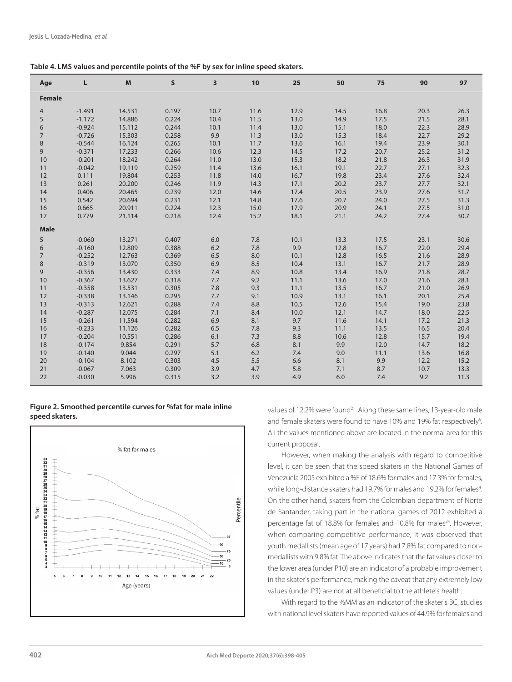| Table 4. LMS values and percentile points of the %F by sex for inline speed skaters. |  |  |  |  |
|--------------------------------------------------------------------------------------|--|--|--|--|
|--------------------------------------------------------------------------------------|--|--|--|--|

| Age            | L        | M      | $\mathsf{s}$ | 3    | 10         | 25         | 50           | 75   | 90           | 97           |
|----------------|----------|--------|--------------|------|------------|------------|--------------|------|--------------|--------------|
| <b>Female</b>  |          |        |              |      |            |            |              |      |              |              |
| $\overline{4}$ | $-1.491$ | 14.531 | 0.197        | 10.7 | 11.6       | 12.9       | 14.5         | 16.8 | 20.3         | 26.3         |
| 5              | $-1.172$ | 14.886 | 0.224        | 10.4 | 11.5       | 13.0       | 14.9         | 17.5 | 21.5         | 28.1         |
| 6              | $-0.924$ | 15.112 | 0.244        | 10.1 | 11.4       | 13.0       | 15.1         | 18.0 | 22.3         | 28.9         |
| $\overline{7}$ | $-0.726$ | 15.303 | 0.258        | 9.9  | 11.3       | 13.0       | 15.3         | 18.4 | 22.7         | 29.2         |
| 8              | $-0.544$ | 16.124 | 0.265        | 10.1 | 11.7       | 13.6       | 16.1         | 19.4 | 23.9         | 30.1         |
| 9              | $-0.371$ | 17.233 | 0.266        | 10.6 | 12.3       | 14.5       | 17.2         | 20.7 | 25.2         | 31.2         |
| 10             | $-0.201$ | 18.242 | 0.264        | 11.0 | 13.0       | 15.3       | 18.2         | 21.8 | 26.3         | 31.9         |
| 11             | $-0.042$ | 19.119 | 0.259        | 11.4 | 13.6       | 16.1       | 19.1         | 22.7 | 27.1         | 32.3         |
| 12             | 0.111    | 19.804 | 0.253        | 11.8 | 14.0       | 16.7       | 19.8         | 23.4 | 27.6         | 32.4         |
| 13             | 0.261    | 20.200 | 0.246        | 11.9 | 14.3       | 17.1       | 20.2         | 23.7 | 27.7         | 32.1         |
| 14             | 0.406    | 20.465 | 0.239        | 12.0 | 14.6       | 17.4       | 20.5         | 23.9 | 27.6         | 31.7         |
| 15             | 0.542    | 20.694 | 0.231        | 12.1 | 14.8       | 17.6       | 20.7         | 24.0 | 27.5         | 31.3         |
| 16             | 0.665    | 20.911 | 0.224        | 12.3 | 15.0       | 17.9       | 20.9         | 24.1 | 27.5         | 31.0         |
| 17             | 0.779    | 21.114 | 0.218        | 12.4 | 15.2       | 18.1       | 21.1         | 24.2 | 27.4         | 30.7         |
| <b>Male</b>    |          |        |              |      |            |            |              |      |              |              |
| 5              | $-0.060$ | 13.271 | 0.407        | 6.0  | 7.8        | 10.1       | 13.3         | 17.5 | 23.1         | 30.6         |
| 6              | $-0.160$ | 12.809 | 0.388        | 6.2  | 7.8        | 9.9        | 12.8         | 16.7 | 22.0         | 29.4         |
| $\overline{7}$ | $-0.252$ | 12.763 | 0.369        | 6.5  | 8.0        | 10.1       | 12.8         | 16.5 | 21.6         | 28.9         |
|                | $-0.319$ | 13.070 | 0.350        | 6.9  | 8.5        | 10.4       | 13.1         | 16.7 | 21.7         | 28.9         |
| 8<br>9         | $-0.356$ | 13.430 | 0.333        | 7.4  | 8.9        | 10.8       | 13.4         | 16.9 | 21.8         | 28.7         |
| 10             | $-0.367$ | 13.627 | 0.318        | 7.7  | 9.2        | 11.1       |              | 17.0 |              | 28.1         |
| 11             | $-0.358$ | 13.531 | 0.305        | 7.8  | 9.3        | 11.1       | 13.6<br>13.5 | 16.7 | 21.6<br>21.0 | 26.9         |
| 12             | $-0.338$ | 13.146 | 0.295        | 7.7  | 9.1        | 10.9       | 13.1         | 16.1 | 20.1         |              |
| 13             | $-0.313$ | 12.621 | 0.288        | 7.4  | 8.8        | 10.5       | 12.6         | 15.4 | 19.0         | 25.4<br>23.8 |
| 14             | $-0.287$ | 12.075 | 0.284        | 7.1  | 8.4        | 10.0       | 12.1         | 14.7 | 18.0         | 22.5         |
| 15             | $-0.261$ | 11.594 | 0.282        | 6.9  | 8.1        | 9.7        | 11.6         | 14.1 | 17.2         | 21.3         |
| 16             | $-0.233$ | 11.126 | 0.282        | 6.5  | 7.8        | 9.3        | 11.1         | 13.5 |              | 20.4         |
| 17             | $-0.204$ | 10.551 | 0.286        | 6.1  |            |            |              | 12.8 | 16.5         | 19.4         |
| 18             | $-0.174$ | 9.854  | 0.291        | 5.7  | 7.3<br>6.8 | 8.8<br>8.1 | 10.6<br>9.9  | 12.0 | 15.7<br>14.7 | 18.2         |
|                |          | 9.044  | 0.297        | 5.1  |            |            |              |      |              |              |
| 19             | $-0.140$ |        |              |      | 6.2        | 7.4        | 9.0          | 11.1 | 13.6         | 16.8         |
| 20             | $-0.104$ | 8.102  | 0.303        | 4.5  | 5.5        | 6.6        | 8.1          | 9.9  | 12.2         | 15.2         |
| 21             | $-0.067$ | 7.063  | 0.309        | 3.9  | 4.7        | 5.8        | 7.1          | 8.7  | 10.7         | 13.3         |
| 22             | $-0.030$ | 5.996  | 0.315        | 3.2  | 3.9        | 4.9        | 6.0          | 7.4  | 9.2          | 11.3         |

**Figure 2. Smoothed percentile curves for %fat for male inline speed skaters.**



values of 12.2% were found<sup>21</sup>. Along these same lines, 13-year-old male and female skaters were found to have 10% and 19% fat respectively<sup>5</sup>. All the values mentioned above are located in the normal area for this current proposal.

However, when making the analysis with regard to competitive level, it can be seen that the speed skaters in the National Games of Venezuela 2005 exhibited a %F of 18.6% for males and 17.3% for females, while long-distance skaters had 19.7% for males and 19.2% for females<sup>4</sup>. On the other hand, skaters from the Colombian department of Norte de Santander, taking part in the national games of 2012 exhibited a percentage fat of 18.8% for females and 10.8% for males<sup>24</sup>. However, when comparing competitive performance, it was observed that youth medallists (mean age of 17 years) had 7.8% fat compared to nonmedallists with 9.8% fat. The above indicates that the fat values closer to the lower area (under P10) are an indicator of a probable improvement in the skater's performance, making the caveat that any extremely low values (under P3) are not at all beneficial to the athlete's health.

With regard to the %MM as an indicator of the skater's BC, studies with national level skaters have reported values of 44.9% for females and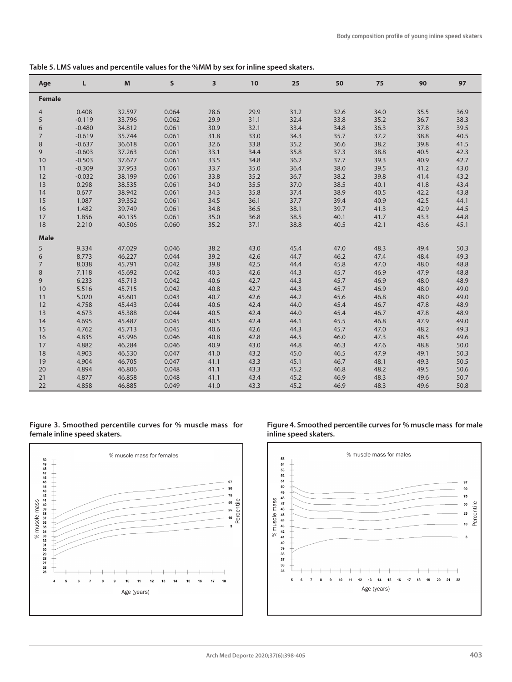| Table 5. LMS values and percentile values for the %MM by sex for inline speed skaters. |  |  |
|----------------------------------------------------------------------------------------|--|--|
|----------------------------------------------------------------------------------------|--|--|

| Age                 | L        | M      | $\mathsf{s}$ | 3    | 10   | 25   | 50   | 75   | 90           | 97   |
|---------------------|----------|--------|--------------|------|------|------|------|------|--------------|------|
| <b>Female</b>       |          |        |              |      |      |      |      |      |              |      |
| 4                   | 0.408    | 32.597 | 0.064        | 28.6 | 29.9 | 31.2 | 32.6 | 34.0 | 35.5         | 36.9 |
| 5                   | $-0.119$ | 33.796 | 0.062        | 29.9 | 31.1 | 32.4 | 33.8 | 35.2 | 36.7         | 38.3 |
| 6                   | $-0.480$ | 34.812 | 0.061        | 30.9 | 32.1 | 33.4 | 34.8 | 36.3 | 37.8         | 39.5 |
| $\overline{7}$      | $-0.619$ | 35.744 | 0.061        | 31.8 | 33.0 | 34.3 | 35.7 | 37.2 | 38.8         | 40.5 |
| 8                   | $-0.637$ | 36.618 | 0.061        | 32.6 | 33.8 | 35.2 | 36.6 | 38.2 | 39.8         | 41.5 |
| 9                   | $-0.603$ | 37.263 | 0.061        | 33.1 | 34.4 | 35.8 | 37.3 | 38.8 | 40.5         | 42.3 |
| $10$                | $-0.503$ | 37.677 | 0.061        | 33.5 | 34.8 | 36.2 | 37.7 | 39.3 | 40.9         | 42.7 |
| 11                  | $-0.309$ | 37.953 | 0.061        | 33.7 | 35.0 | 36.4 | 38.0 | 39.5 | 41.2         | 43.0 |
| 12                  | $-0.032$ | 38.199 | 0.061        | 33.8 | 35.2 | 36.7 | 38.2 | 39.8 | 41.4         | 43.2 |
| 13                  | 0.298    | 38.535 | 0.061        | 34.0 | 35.5 | 37.0 | 38.5 | 40.1 | 41.8         | 43.4 |
| 14                  | 0.677    | 38.942 | 0.061        | 34.3 | 35.8 | 37.4 | 38.9 | 40.5 | 42.2         | 43.8 |
| 15                  | 1.087    | 39.352 | 0.061        | 34.5 | 36.1 | 37.7 | 39.4 | 40.9 | 42.5         | 44.1 |
| 16                  | 1.482    | 39.749 | 0.061        | 34.8 | 36.5 | 38.1 | 39.7 | 41.3 | 42.9         | 44.5 |
| 17                  | 1.856    | 40.135 | 0.061        | 35.0 | 36.8 | 38.5 | 40.1 | 41.7 | 43.3         | 44.8 |
| 18                  | 2.210    | 40.506 | 0.060        | 35.2 | 37.1 | 38.8 | 40.5 | 42.1 | 43.6         | 45.1 |
| <b>Male</b>         |          |        |              |      |      |      |      |      |              |      |
| 5                   | 9.334    | 47.029 | 0.046        | 38.2 | 43.0 | 45.4 | 47.0 | 48.3 | 49.4         | 50.3 |
|                     | 8.773    | 46.227 | 0.044        | 39.2 | 42.6 | 44.7 | 46.2 | 47.4 | 48.4         | 49.3 |
| 6<br>$\overline{7}$ | 8.038    | 45.791 | 0.042        | 39.8 | 42.5 | 44.4 | 45.8 | 47.0 | 48.0         | 48.8 |
|                     | 7.118    | 45.692 | 0.042        | 40.3 | 42.6 | 44.3 | 45.7 | 46.9 |              | 48.8 |
| 8<br>9              | 6.233    | 45.713 | 0.042        | 40.6 | 42.7 | 44.3 | 45.7 | 46.9 | 47.9<br>48.0 | 48.9 |
| 10                  | 5.516    | 45.715 | 0.042        | 40.8 | 42.7 | 44.3 | 45.7 | 46.9 | 48.0         | 49.0 |
| 11                  | 5.020    | 45.601 | 0.043        | 40.7 | 42.6 | 44.2 | 45.6 | 46.8 | 48.0         | 49.0 |
| 12                  | 4.758    | 45.443 | 0.044        | 40.6 | 42.4 | 44.0 | 45.4 | 46.7 |              | 48.9 |
| 13                  | 4.673    | 45.388 | 0.044        | 40.5 | 42.4 | 44.0 | 45.4 | 46.7 | 47.8<br>47.8 | 48.9 |
| 14                  | 4.695    | 45.487 | 0.045        | 40.5 | 42.4 | 44.1 | 45.5 | 46.8 | 47.9         | 49.0 |
| 15                  | 4.762    | 45.713 | 0.045        | 40.6 | 42.6 | 44.3 | 45.7 | 47.0 | 48.2         | 49.3 |
| 16                  | 4.835    | 45.996 | 0.046        | 40.8 | 42.8 | 44.5 | 46.0 | 47.3 | 48.5         | 49.6 |
| 17                  | 4.882    | 46.284 | 0.046        | 40.9 | 43.0 | 44.8 | 46.3 | 47.6 | 48.8         | 50.0 |
|                     | 4.903    | 46.530 | 0.047        |      | 43.2 |      | 46.5 |      |              | 50.3 |
| 18                  |          | 46.705 | 0.047        | 41.0 |      | 45.0 | 46.7 | 47.9 | 49.1         | 50.5 |
| 19                  | 4.904    |        |              | 41.1 | 43.3 | 45.1 |      | 48.1 | 49.3         |      |
| 20                  | 4.894    | 46.806 | 0.048        | 41.1 | 43.3 | 45.2 | 46.8 | 48.2 | 49.5         | 50.6 |
| 21                  | 4.877    | 46.858 | 0.048        | 41.1 | 43.4 | 45.2 | 46.9 | 48.3 | 49.6         | 50.7 |
| 22                  | 4.858    | 46.885 | 0.049        | 41.0 | 43.3 | 45.2 | 46.9 | 48.3 | 49.6         | 50.8 |

#### **Figure 3. Smoothed percentile curves for % muscle mass for female inline speed skaters.**



**Figure 4. Smoothed percentile curves for % muscle mass for male inline speed skaters.**

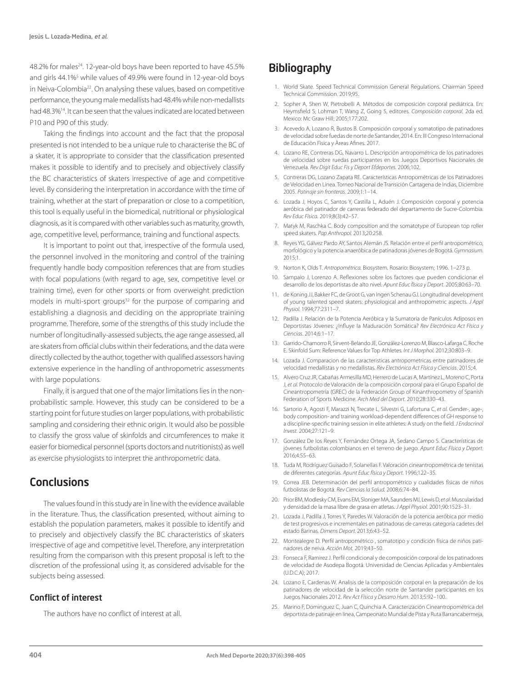48.2% for males<sup>24</sup>. 12-year-old boys have been reported to have 45.5% and girls 44.1%<sup>5</sup> while values of 49.9% were found in 12-year-old boys in Neiva-Colombia<sup>22</sup>. On analysing these values, based on competitive performance, the young male medallists had 48.4% while non-medallists had 48.3%14. It can be seen that the values indicated are located between P10 and P90 of this study.

Taking the findings into account and the fact that the proposal presented is not intended to be a unique rule to characterise the BC of a skater, it is appropriate to consider that the classification presented makes it possible to identify and to precisely and objectively classify the BC characteristics of skaters irrespective of age and competitive level. By considering the interpretation in accordance with the time of training, whether at the start of preparation or close to a competition, this tool is equally useful in the biomedical, nutritional or physiological diagnosis, as it is compared with other variables such as maturity, growth, age, competitive level, performance, training and functional aspects.

It is important to point out that, irrespective of the formula used, the personnel involved in the monitoring and control of the training frequently handle body composition references that are from studies with focal populations (with regard to age, sex, competitive level or training time), even for other sports or from overweight prediction models in multi-sport groups<sup>32</sup> for the purpose of comparing and establishing a diagnosis and deciding on the appropriate training programme. Therefore, some of the strengths of this study include the number of longitudinally-assessed subjects, the age range assessed, all are skaters from official clubs within their federations, and the data were directly collected by the author, together with qualified assessors having extensive experience in the handling of anthropometric assessments with large populations.

Finally, it is argued that one of the major limitations lies in the nonprobabilistic sample. However, this study can be considered to be a starting point for future studies on larger populations, with probabilistic sampling and considering their ethnic origin. It would also be possible to classify the gross value of skinfolds and circumferences to make it easier for biomedical personnel (sports doctors and nutritionists) as well as exercise physiologists to interpret the anthropometric data.

### **Conclusions**

The values found in this study are in line with the evidence available in the literature. Thus, the classification presented, without aiming to establish the population parameters, makes it possible to identify and to precisely and objectively classify the BC characteristics of skaters irrespective of age and competitive level. Therefore, any interpretation resulting from the comparison with this present proposal is left to the discretion of the professional using it, as considered advisable for the subjects being assessed.

#### Conflict of interest

The authors have no conflict of interest at all.

# **Bibliography**

- 1. World Skate. Speed Technical Commission General Regulations. Chairman Speed Technical Commission. 2019;95.
- 2. Sopher A, Shen W, Pietrobelli A. Métodos de composición corporal pediátrica. En: Heymsfield S, Lohman T, Wang Z, Going S, editores. *Composición corporal.* 2da ed. Mexico: Mc Graw Hill; 2005;177:202.
- 3. Acevedo A, Lozano R, Bustos B. Composición corporal y somatotipo de patinadores de velocidad sobre fuedas de norte de Santander, 2014. En: III Congreso Internacional de Educaciòn Fìsica y Àreas Afines. 2017.
- 4. Lozano RE, Contreras DG, Navarro L. Descripción antropométrica de los patinadores de velocidad sobre ruedas participantes en los Juegos Deportivos Nacionales de Venezuela. *Rev Digit Educ Fis y Deport Efdeportes.* 2006;102.
- 5. Contreras DG, Lozano Zapata RE. Características Antropométricas de los Patinadores de Velocidad en Línea. Torneo Nacional de Transición Cartagena de Indias, Diciembre 2005. *Patinaje sin fronteras*. 2009;1:1–14.
- 6. Lozada J, Hoyos C, Santos Y, Castilla L, Aduén J. Composición corporal y potencia aeróbica del patinador de carreras federado del departamento de Sucre-Colombia. *Rev Educ Física.* 2019;8(3):42–57.
- 7. Matyk M, Raschka C. Body composition and the somatotype of European top roller speed skaters. *Pap Anthropol.* 2013;20:258.
- 8. Reyes YG, Gálvez Pardo AY, Santos Alemán JS. Relación entre el perfil antropométrico, morfológico y la potencia anaeróbica de patinadoras jóvenes de Bogotá. *Gymnasium.*  2015;1.
- 9. Norton K, Olds T. *Antropométrica.* Biosystem. Rosario: Biosystem; 1996. 1–273 p.
- 10. Sampaio J, Lorenzo A. Reflexiones sobre los factores que pueden condicionar el desarrollo de los deportistas de alto nivel. *Apunt Educ física y Deport*. 2005;80:63–70.
- 11. de Koning JJ, Bakker FC, de Groot G, van Ingen Schenau GJ. Longitudinal development of young talented speed skaters: physiological and anthropometric aspects. *J Appl Physiol.* 1994;77:2311–7.
- 12. Padilla J. Relación de la Potencia Aeróbica y la Sumatoria de Panículos Adíposos en Deportistas Jóvenes: ¿Influye la Maduración Somática? *Rev Electrónica Act Física y Ciencias*. 2014;6:1–17.
- 13. Garrido-Chamorro R, Sirvent-Belando JE, González-Lorenzo M, Blasco-Lafarga C, Roche E. Skinfold Sum: Reference Values for Top Athletes. *Int J Morphol.* 2012;30:803–9.
- 14. Lozada J. Comparacion de las caracteristicas antropometricas entre patinadores de velocidad medallistas y no medallistas. *Rev Electrónica Act Física y Ciencias*. 2015;:4.
- 15. Alvero Cruz JR, Cabañas Armesilla MD, Herrero de Lucas A, Martínez L, Moreno C, Porta J, *et al.* Protocolo de Valoración de la composición corporal para el Grupo Español de Cineantropometría (GREC) de la Federación Group of Kinanthropometry of Spanish Federation of Sports Medicine. *Arch Med del Deport*. 2010;28:330–43.
- 16. Sartorio A, Agosti F, Marazzi N, Trecate L, Silvestri G, Lafortuna C, *et al.* Gender-, age-, body composition- and training workload-dependent differences of GH response to a discipline-specific training session in elite athletes: A study on the field. *J Endocrinol Invest.* 2004;27:121–9.
- 17. González De los Reyes Y, Fernández Ortega JA, Sedano Campo S. Características de jóvenes futbolistas colombianos en el terreno de juego. *Apunt Educ Física y Deport.*  2016;4:55–63.
- 18. Tuda M, Rodríguez Guisado F, Solanellas F. Valoración cineantropométrica de tenistas de diferentes categorías. *Apunt Educ física y Deport.* 1996;122–35.
- 19. Correa JEB. Determinación del perfil antropométrico y cualidades físicas de niños futbolistas de Bogotá. *Rev Ciencias la Salud.* 2008;6:74–84.
- 20. Prior BM, Modlesky CM, Evans EM, Sloniger MA, Saunders MJ, Lewis D, *et al*. Muscularidad y densidad de la masa libre de grasa en atletas. *J Appl Physiol*. 2001;90:1523–31.
- 21. Lozada J, Padilla J, Torres Y, Paredes W. Valoración de la potencia aeróbica por medio de test progresivos e incrementales en patinadoras de carreras categoría cadetes del estado Barinas. *Dimens Deport.* 2013;6:43–52.
- 22. Montealegre D. Perfil antropométrico , somatotipo y condición física de niños patinadores de neiva. *Acción Mot.* 2019;43–50.
- 23. Fonseca F, Ramirez J. Perfil condicional y de composición corporal de los patinadores de velocidad de Asodepa Bogotá. Universidad de Ciencias Aplicadas y Ambientales (U.D.C.A); 2017.
- 24. Lozano E, Cardenas W. Analisis de la composición corporal en la preparación de los patinadores de velocidad de la selección norte de Santander participantes en los Juegos Nacionales 2012. *Rev Act Física y Desarro Hum*. 2013;5:92–100.
- 25. Marino F, Dominguez C, Juan C, Quinchia A. Caracterización Cineantropométrica del deportista de patinaje en linea, Campeonato Mundial de Pista y Ruta Barrancabermeja,